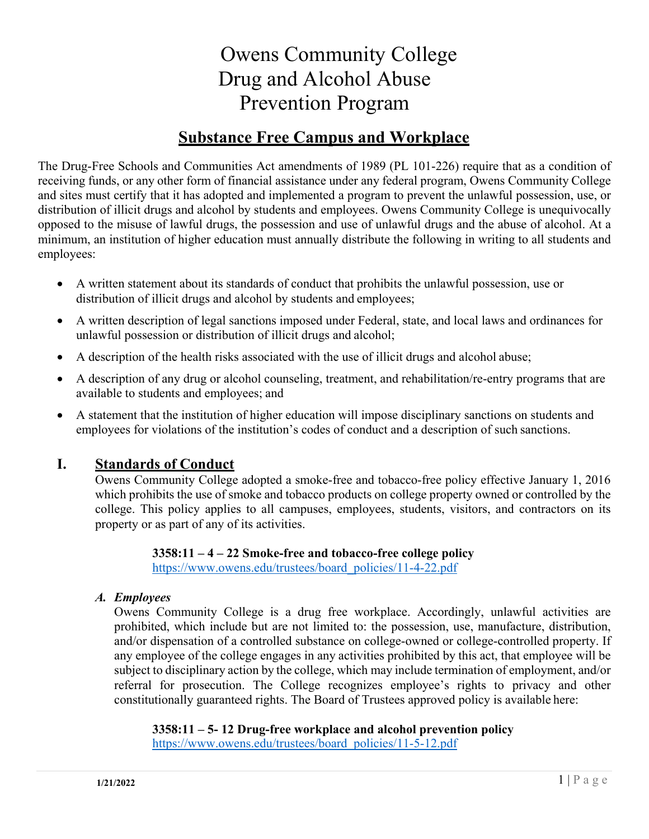# Owens Community College Drug and Alcohol Abuse Prevention Program

# **Substance Free Campus and Workplace**

The Drug-Free Schools and Communities Act amendments of 1989 (PL 101-226) require that as a condition of receiving funds, or any other form of financial assistance under any federal program, Owens Community College and sites must certify that it has adopted and implemented a program to prevent the unlawful possession, use, or distribution of illicit drugs and alcohol by students and employees. Owens Community College is unequivocally opposed to the misuse of lawful drugs, the possession and use of unlawful drugs and the abuse of alcohol. At a minimum, an institution of higher education must annually distribute the following in writing to all students and employees:

- A written statement about its standards of conduct that prohibits the unlawful possession, use or distribution of illicit drugs and alcohol by students and employees;
- A written description of legal sanctions imposed under Federal, state, and local laws and ordinances for unlawful possession or distribution of illicit drugs and alcohol;
- A description of the health risks associated with the use of illicit drugs and alcohol abuse;
- A description of any drug or alcohol counseling, treatment, and rehabilitation/re-entry programs that are available to students and employees; and
- A statement that the institution of higher education will impose disciplinary sanctions on students and employees for violations of the institution's codes of conduct and a description of such sanctions.

# **I. Standards of Conduct**

Owens Community College adopted a smoke-free and tobacco-free policy effective January 1, 2016 which prohibits the use of smoke and tobacco products on college property owned or controlled by the college. This policy applies to all campuses, employees, students, visitors, and contractors on its property or as part of any of its activities.

> **3358:11 – 4 – 22 Smoke-free and tobacco-free college policy** https:[//www.owens.edu/trustees/board\\_policies/11-4-22.pdf](http://www.owens.edu/trustees/board_policies/11-4-22.pdf)

#### *A. Employees*

Owens Community College is a drug free workplace. Accordingly, unlawful activities are prohibited, which include but are not limited to: the possession, use, manufacture, distribution, and/or dispensation of a controlled substance on college-owned or college-controlled property. If any employee of the college engages in any activities prohibited by this act, that employee will be subject to disciplinary action by the college, which may include termination of employment, and/or referral for prosecution. The College recognizes employee's rights to privacy and other constitutionally guaranteed rights. The Board of Trustees approved policy is available here:

**3358:11 – 5- 12 Drug-free workplace and alcohol prevention policy**  https:/[/www.owens.edu/trustees/board\\_policies/11-5-12.pdf](http://www.owens.edu/trustees/board_policies/11-5-12.pdf)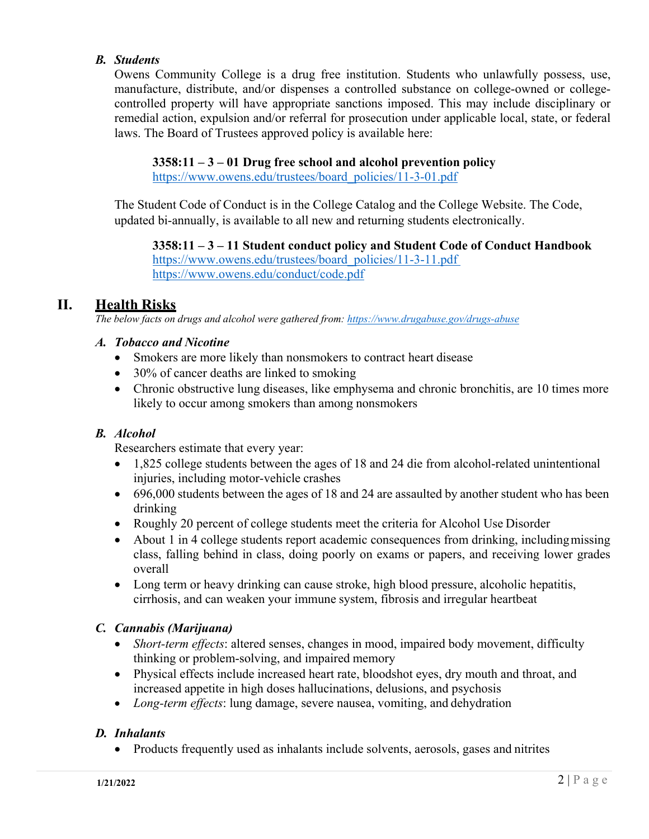#### *B. Students*

Owens Community College is a drug free institution. Students who unlawfully possess, use, manufacture, distribute, and/or dispenses a controlled substance on college-owned or collegecontrolled property will have appropriate sanctions imposed. This may include disciplinary or remedial action, expulsion and/or referral for prosecution under applicable local, state, or federal laws. The Board of Trustees approved policy is available here:

#### **3358:11 – 3 – 01 Drug free school and alcohol prevention policy**

https:[//www.owens.edu/trustees/board\\_policies/11-3-01.pdf](http://www.owens.edu/trustees/board_policies/11-3-01.pdf)

The Student Code of Conduct is in the College Catalog and the College Website. The Code, updated bi-annually, is available to all new and returning students electronically.

#### **3358:11 – 3 – 11 Student conduct policy and Student Code of Conduct Handbook**

https:[//www.owens.edu/trustees/board\\_policies/11-3-11.pdf](http://www.owens.edu/trustees/board_policies/11-3-11.pdf) https:[//www.owens.edu/conduct/code.pdf](http://www.owens.edu/conduct/code.pdf)

# **II. Health Risks**

*The below facts on drugs and alcohol were gathered from: https[://www.drugabuse.gov/drugs-abuse](http://www.drugabuse.gov/drugs-abuse)*

#### *A. Tobacco and Nicotine*

- Smokers are more likely than nonsmokers to contract heart disease
- 30% of cancer deaths are linked to smoking
- Chronic obstructive lung diseases, like emphysema and chronic bronchitis, are 10 times more likely to occur among smokers than among nonsmokers

#### *B. Alcohol*

Researchers estimate that every year:

- 1,825 college students between the ages of 18 and 24 die from alcohol-related unintentional injuries, including motor-vehicle crashes
- 696,000 students between the ages of 18 and 24 are assaulted by another student who has been drinking
- Roughly 20 percent of college students meet the criteria for Alcohol Use Disorder
- About 1 in 4 college students report academic consequences from drinking, including missing class, falling behind in class, doing poorly on exams or papers, and receiving lower grades overall
- Long term or heavy drinking can cause stroke, high blood pressure, alcoholic hepatitis, cirrhosis, and can weaken your immune system, fibrosis and irregular heartbeat

#### *C. Cannabis (Marijuana)*

- *Short-term effects*: altered senses, changes in mood, impaired body movement, difficulty thinking or problem-solving, and impaired memory
- Physical effects include increased heart rate, bloodshot eyes, dry mouth and throat, and increased appetite in high doses hallucinations, delusions, and psychosis
- *Long-term effects*: lung damage, severe nausea, vomiting, and dehydration

#### *D. Inhalants*

• Products frequently used as inhalants include solvents, aerosols, gases and nitrites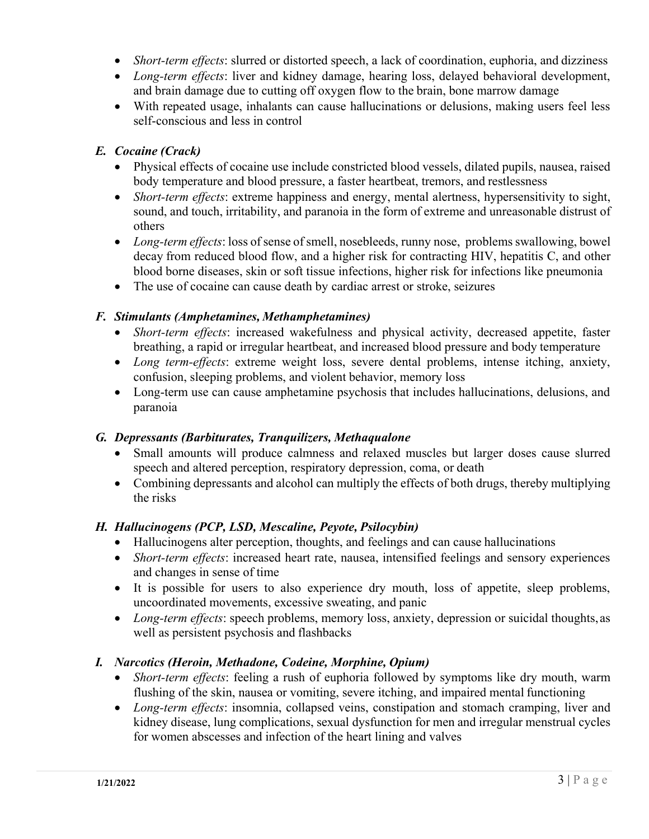- *Short-term effects*: slurred or distorted speech, a lack of coordination, euphoria, and dizziness
- *Long-term effects*: liver and kidney damage, hearing loss, delayed behavioral development, and brain damage due to cutting off oxygen flow to the brain, bone marrow damage
- With repeated usage, inhalants can cause hallucinations or delusions, making users feel less self-conscious and less in control

#### *E. Cocaine (Crack)*

- Physical effects of cocaine use include constricted blood vessels, dilated pupils, nausea, raised body temperature and blood pressure, a faster heartbeat, tremors, and restlessness
- *Short-term effects*: extreme happiness and energy, mental alertness, hypersensitivity to sight, sound, and touch, irritability, and paranoia in the form of extreme and unreasonable distrust of others
- *Long-term effects*: loss of sense of smell, nosebleeds, runny nose, problems swallowing, bowel decay from reduced blood flow, and a higher risk for contracting HIV, hepatitis C, and other blood borne diseases, skin or soft tissue infections, higher risk for infections like pneumonia
- The use of cocaine can cause death by cardiac arrest or stroke, seizures

#### *F. Stimulants (Amphetamines, Methamphetamines)*

- *Short-term effects*: increased wakefulness and physical activity, decreased appetite, faster breathing, a rapid or irregular heartbeat, and increased blood pressure and body temperature
- *Long term-effects*: extreme weight loss, severe dental problems, intense itching, anxiety, confusion, sleeping problems, and violent behavior, memory loss
- Long-term use can cause amphetamine psychosis that includes hallucinations, delusions, and paranoia

#### *G. Depressants (Barbiturates, Tranquilizers, Methaqualone*

- Small amounts will produce calmness and relaxed muscles but larger doses cause slurred speech and altered perception, respiratory depression, coma, or death
- Combining depressants and alcohol can multiply the effects of both drugs, thereby multiplying the risks

#### *H. Hallucinogens (PCP, LSD, Mescaline, Peyote, Psilocybin)*

- Hallucinogens alter perception, thoughts, and feelings and can cause hallucinations
- *Short-term effects*: increased heart rate, nausea, intensified feelings and sensory experiences and changes in sense of time
- It is possible for users to also experience dry mouth, loss of appetite, sleep problems, uncoordinated movements, excessive sweating, and panic
- *Long-term effects*: speech problems, memory loss, anxiety, depression or suicidal thoughts, as well as persistent psychosis and flashbacks

#### *I. Narcotics (Heroin, Methadone, Codeine, Morphine, Opium)*

- *Short-term effects*: feeling a rush of euphoria followed by symptoms like dry mouth, warm flushing of the skin, nausea or vomiting, severe itching, and impaired mental functioning
- *Long-term effects*: insomnia, collapsed veins, constipation and stomach cramping, liver and kidney disease, lung complications, sexual dysfunction for men and irregular menstrual cycles for women abscesses and infection of the heart lining and valves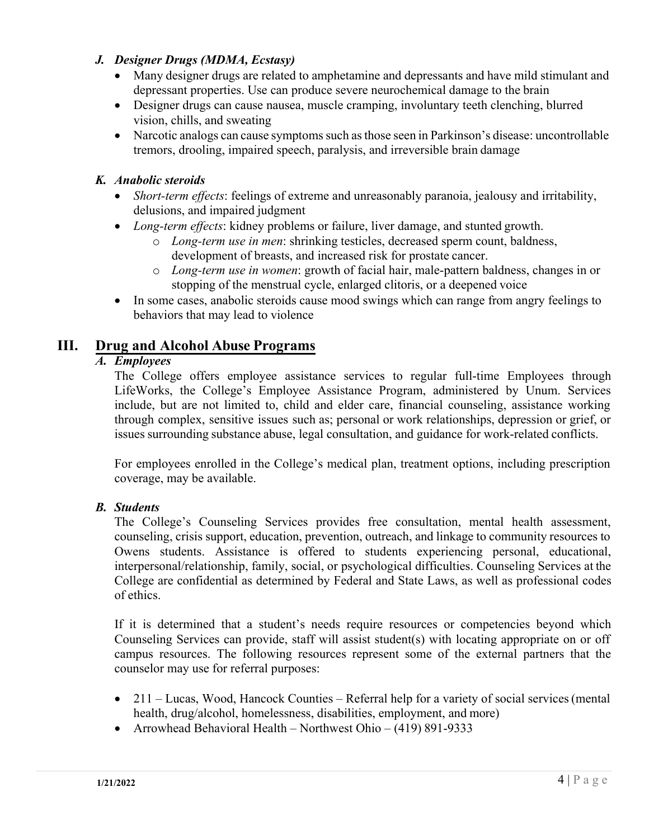#### *J. Designer Drugs (MDMA, Ecstasy)*

- Many designer drugs are related to amphetamine and depressants and have mild stimulant and depressant properties. Use can produce severe neurochemical damage to the brain
- Designer drugs can cause nausea, muscle cramping, involuntary teeth clenching, blurred vision, chills, and sweating
- Narcotic analogs can cause symptoms such as those seen in Parkinson's disease: uncontrollable tremors, drooling, impaired speech, paralysis, and irreversible brain damage

#### *K. Anabolic steroids*

- *Short-term effects*: feelings of extreme and unreasonably paranoia, jealousy and irritability, delusions, and impaired judgment
- *Long-term effects*: kidney problems or failure, liver damage, and stunted growth.
	- o *Long-term use in men*: shrinking testicles, decreased sperm count, baldness, development of breasts, and increased risk for prostate cancer.
	- o *Long-term use in women*: growth of facial hair, male-pattern baldness, changes in or stopping of the menstrual cycle, enlarged clitoris, or a deepened voice
- In some cases, anabolic steroids cause mood swings which can range from angry feelings to behaviors that may lead to violence

# **III. Drug and Alcohol Abuse Programs**

#### *A. Employees*

The College offers employee assistance services to regular full-time Employees through LifeWorks, the College's Employee Assistance Program, administered by Unum. Services include, but are not limited to, child and elder care, financial counseling, assistance working through complex, sensitive issues such as; personal or work relationships, depression or grief, or issues surrounding substance abuse, legal consultation, and guidance for work-related conflicts.

For employees enrolled in the College's medical plan, treatment options, including prescription coverage, may be available.

#### *B. Students*

The College's Counseling Services provides free consultation, mental health assessment, counseling, crisis support, education, prevention, outreach, and linkage to community resources to Owens students. Assistance is offered to students experiencing personal, educational, interpersonal/relationship, family, social, or psychological difficulties. Counseling Services at the College are confidential as determined by Federal and State Laws, as well as professional codes of ethics.

If it is determined that a student's needs require resources or competencies beyond which Counseling Services can provide, staff will assist student(s) with locating appropriate on or off campus resources. The following resources represent some of the external partners that the counselor may use for referral purposes:

- 211 Lucas, Wood, Hancock Counties Referral help for a variety of social services (mental health, drug/alcohol, homelessness, disabilities, employment, and more)
- Arrowhead Behavioral Health Northwest Ohio (419) 891-9333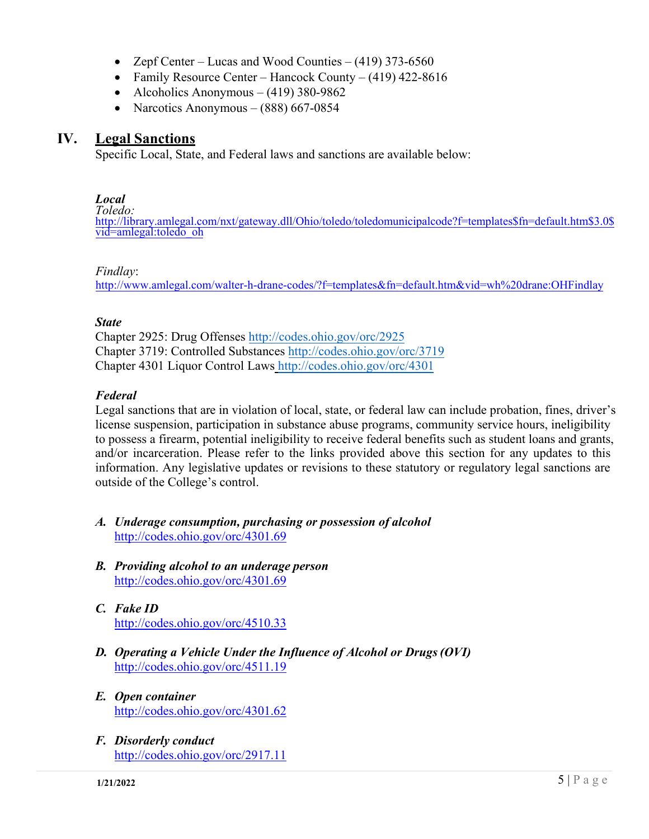- Zepf Center Lucas and Wood Counties  $(419)$  373-6560
- Family Resource Center Hancock County (419) 422-8616
- Alcoholics Anonymous  $(419)$  380-9862
- Narcotics Anonymous  $(888)$  667-0854

#### **IV. Legal Sanctions**

Specific Local, State, and Federal laws and sanctions are available below:

#### *Local*

*Toledo:* [http://library.amlegal.com/nxt/gateway.dll/Ohio/toledo/toledomunicipalcode?f=templates\\$fn=default.htm\\$3.0\\$](http://library.amlegal.com/nxt/gateway.dll/Ohio/toledo/toledomunicipalcode?f=templates$fn=default.htm$3.0$vid=amlegal:toledo_oh) vid=amlegal:toledo\_oh

#### *[Findlay](http://www.amlegal.com/walter-h-drane-codes/?f=templates&fn=default.htm&vid=wh%20drane:OHFindlay)*:

http://www.amlegal.com/walter-h-drane-codes/?f=templates&fn=default.htm&vid=wh%20drane:OHFindlay

#### *State*

Chapter 2925: Drug Offenses http://c[odes.ohio.gov/orc/2925](http://codes.ohio.gov/orc/3719)  Chapter 3719: Controlled Substanc[es http://codes.ohio.gov/orc/371](http://codes.ohio.gov/orc/4301)9 Chapter 4301 Liquor Control Laws http://codes.ohio.gov/orc/4301

#### *Fede[ral](http://www.deadiversion.usdoj.gov/21cfr/21usc/index.html)*

Legal sanctions that are in violation of local, state, or federal law can include probation, fines, driver's license suspension, participation in substance abuse programs, community service hours, ineligibility to possess a firearm, potential ineligibility to receive federal benefits such as student loans and grants, and/or incarceration. Please refer to the links provided above this section for any updates to this information. Any legislative updates or revisions to these statutory or regulatory legal sanctions are outside of the College's control.

- *A. Underage consumption, purchasing or possession of alcohol* <http://codes.ohio.gov/orc/4301.69>
- *B. Providing alcohol to an underage person* <http://codes.ohio.gov/orc/4301.69>
- *C. Fake ID* <http://codes.ohio.gov/orc/4510.33>
- *D. Operating a Vehicle Under the Influence of Alcohol or Drugs(OVI)* <http://codes.ohio.gov/orc/4511.19>
- *E. Open container* <http://codes.ohio.gov/orc/4301.62>
- *F. Disorderly conduct* <http://codes.ohio.gov/orc/2917.11>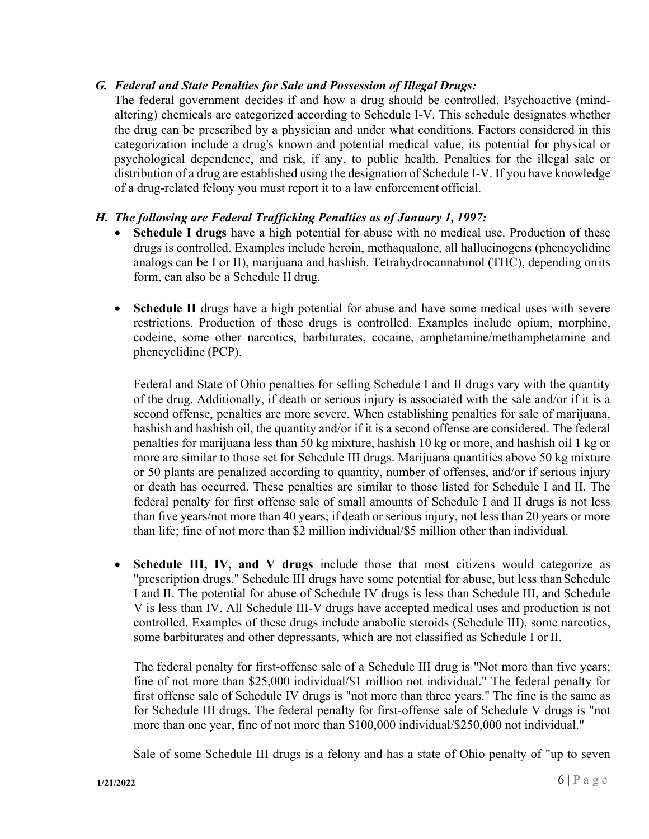#### *G. Federal and State Penalties for Sale and Possession of Illegal Drugs:*

The federal government decides if and how a drug should be controlled. Psychoactive (mindaltering) chemicals are categorized according to Schedule I-V. This schedule designates whether the drug can be prescribed by a physician and under what conditions. Factors considered in this categorization include a drug's known and potential medical value, its potential for physical or psychological dependence, and risk, if any, to public health. Penalties for the illegal sale or distribution of a drug are established using the designation of Schedule I-V. If you have knowledge of a drug-related felony you must report it to a law enforcement official.

#### *H. The following are Federal Trafficking Penalties as of January 1, 1997:*

- **Schedule I drugs** have a high potential for abuse with no medical use. Production of these drugs is controlled. Examples include heroin, methaqualone, all hallucinogens (phencyclidine analogs can be I or II), marijuana and hashish. Tetrahydrocannabinol (THC), depending onits form, can also be a Schedule II drug.
- **Schedule II** drugs have a high potential for abuse and have some medical uses with severe restrictions. Production of these drugs is controlled. Examples include opium, morphine, codeine, some other narcotics, barbiturates, cocaine, amphetamine/methamphetamine and phencyclidine (PCP).

Federal and State of Ohio penalties for selling Schedule I and II drugs vary with the quantity of the drug. Additionally, if death or serious injury is associated with the sale and/or if it is a second offense, penalties are more severe. When establishing penalties for sale of marijuana, hashish and hashish oil, the quantity and/or if it is a second offense are considered. The federal penalties for marijuana less than 50 kg mixture, hashish 10 kg or more, and hashish oil 1 kg or more are similar to those set for Schedule III drugs. Marijuana quantities above 50 kg mixture or 50 plants are penalized according to quantity, number of offenses, and/or if serious injury or death has occurred. These penalties are similar to those listed for Schedule I and II. The federal penalty for first offense sale of small amounts of Schedule I and II drugs is not less than five years/not more than 40 years; if death or serious injury, not less than 20 years or more than life; fine of not more than \$2 million individual/\$5 million other than individual.

• **Schedule III, IV, and V drugs** include those that most citizens would categorize as "prescription drugs." Schedule III drugs have some potential for abuse, but less than Schedule I and II. The potential for abuse of Schedule IV drugs is less than Schedule III, and Schedule V is less than IV. All Schedule III-V drugs have accepted medical uses and production is not controlled. Examples of these drugs include anabolic steroids (Schedule III), some narcotics, some barbiturates and other depressants, which are not classified as Schedule I or II.

The federal penalty for first-offense sale of a Schedule III drug is "Not more than five years; fine of not more than \$25,000 individual/\$1 million not individual." The federal penalty for first offense sale of Schedule IV drugs is "not more than three years." The fine is the same as for Schedule III drugs. The federal penalty for first-offense sale of Schedule V drugs is "not more than one year, fine of not more than \$100,000 individual/\$250,000 not individual."

Sale of some Schedule III drugs is a felony and has a state of Ohio penalty of "up to seven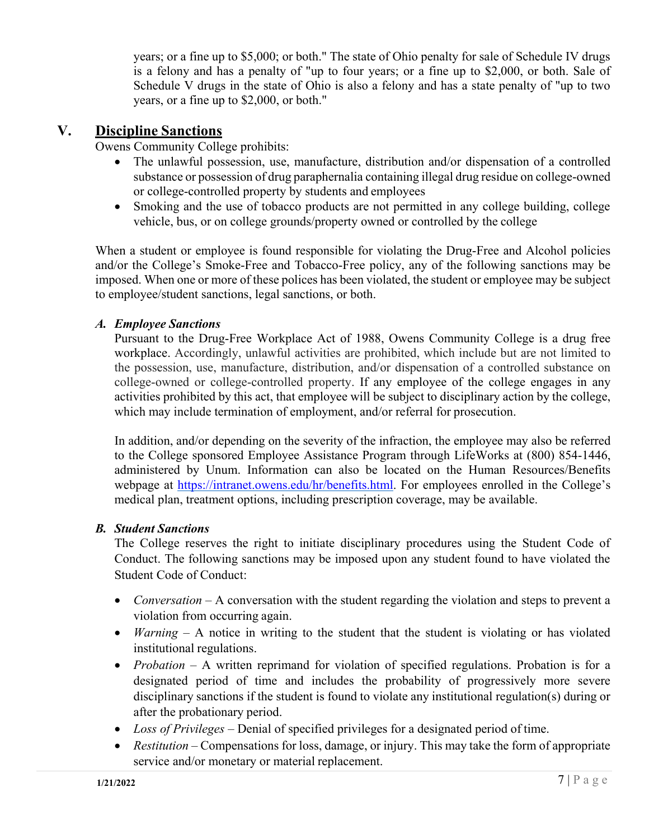years; or a fine up to \$5,000; or both." The state of Ohio penalty for sale of Schedule IV drugs is a felony and has a penalty of "up to four years; or a fine up to \$2,000, or both. Sale of Schedule V drugs in the state of Ohio is also a felony and has a state penalty of "up to two years, or a fine up to \$2,000, or both."

### **V. Discipline Sanctions**

Owens Community College prohibits:

- The unlawful possession, use, manufacture, distribution and/or dispensation of a controlled substance or possession of drug paraphernalia containing illegal drug residue on college-owned or college-controlled property by students and employees
- Smoking and the use of tobacco products are not permitted in any college building, college vehicle, bus, or on college grounds/property owned or controlled by the college

When a student or employee is found responsible for violating the Drug-Free and Alcohol policies and/or the College's Smoke-Free and Tobacco-Free policy, any of the following sanctions may be imposed. When one or more of these polices has been violated, the student or employee may be subject to employee/student sanctions, legal sanctions, or both.

#### *A. Employee Sanctions*

Pursuant to the Drug-Free Workplace Act of 1988, Owens Community College is a drug free workplace. Accordingly, unlawful activities are prohibited, which include but are not limited to the possession, use, manufacture, distribution, and/or dispensation of a controlled substance on college-owned or college-controlled property. If any employee of the college engages in any activities prohibited by this act, that employee will be subject to disciplinary action by the college, which may include termination of employment, and/or referral for prosecution.

In addition, and/or depending on the severity of the infraction, the employee may also be referred to the College sponsored Employee Assistance Program through LifeWorks at (800) 854-1446, administered by Unum. Information can also be located on the Human Resources/Benefits webpage at [https://intranet.owens.edu/hr/benefits.html.](https://intranet.owens.edu/hr/benefits.html) For employees enrolled in the College's medical plan, treatment options, including prescription coverage, may be available.

#### *B. Student Sanctions*

The College reserves the right to initiate disciplinary procedures using the Student Code of Conduct. The following sanctions may be imposed upon any student found to have violated the Student Code of Conduct:

- *Conversation* A conversation with the student regarding the violation and steps to prevent a violation from occurring again.
- *Warning* A notice in writing to the student that the student is violating or has violated institutional regulations.
- *Probation* A written reprimand for violation of specified regulations. Probation is for a designated period of time and includes the probability of progressively more severe disciplinary sanctions if the student is found to violate any institutional regulation(s) during or after the probationary period.
- *Loss of Privileges*  Denial of specified privileges for a designated period of time.
- *Restitution* Compensations for loss, damage, or injury. This may take the form of appropriate service and/or monetary or material replacement.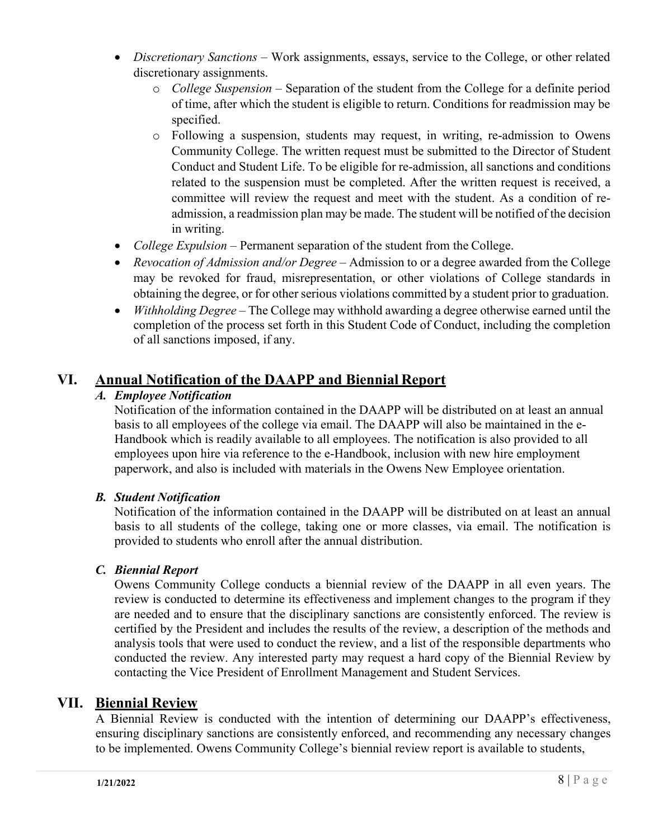- *Discretionary Sanctions* Work assignments, essays, service to the College, or other related discretionary assignments.
	- o *College Suspension*  Separation of the student from the College for a definite period of time, after which the student is eligible to return. Conditions for readmission may be specified.
	- o Following a suspension, students may request, in writing, re-admission to Owens Community College. The written request must be submitted to the Director of Student Conduct and Student Life. To be eligible for re-admission, all sanctions and conditions related to the suspension must be completed. After the written request is received, a committee will review the request and meet with the student. As a condition of readmission, a readmission plan may be made. The student will be notified of the decision in writing.
- *College Expulsion* Permanent separation of the student from the College.
- *Revocation of Admission and/or Degree* Admission to or a degree awarded from the College may be revoked for fraud, misrepresentation, or other violations of College standards in obtaining the degree, or for other serious violations committed by a student prior to graduation.
- *Withholding Degree* The College may withhold awarding a degree otherwise earned until the completion of the process set forth in this Student Code of Conduct, including the completion of all sanctions imposed, if any.

# **VI. Annual Notification of the DAAPP and Biennial Report**

# *A. Employee Notification*

Notification of the information contained in the DAAPP will be distributed on at least an annual basis to all employees of the college via email. The DAAPP will also be maintained in the e-Handbook which is readily available to all employees. The notification is also provided to all employees upon hire via reference to the e-Handbook, inclusion with new hire employment paperwork, and also is included with materials in the Owens New Employee orientation.

# *B. Student Notification*

Notification of the information contained in the DAAPP will be distributed on at least an annual basis to all students of the college, taking one or more classes, via email. The notification is provided to students who enroll after the annual distribution.

#### *C. Biennial Report*

Owens Community College conducts a biennial review of the DAAPP in all even years. The review is conducted to determine its effectiveness and implement changes to the program if they are needed and to ensure that the disciplinary sanctions are consistently enforced. The review is certified by the President and includes the results of the review, a description of the methods and analysis tools that were used to conduct the review, and a list of the responsible departments who conducted the review. Any interested party may request a hard copy of the Biennial Review by contacting the Vice President of Enrollment Management and Student Services.

# **VII. Biennial Review**

A Biennial Review is conducted with the intention of determining our DAAPP's effectiveness, ensuring disciplinary sanctions are consistently enforced, and recommending any necessary changes to be implemented. Owens Community College's biennial review report is available to students,